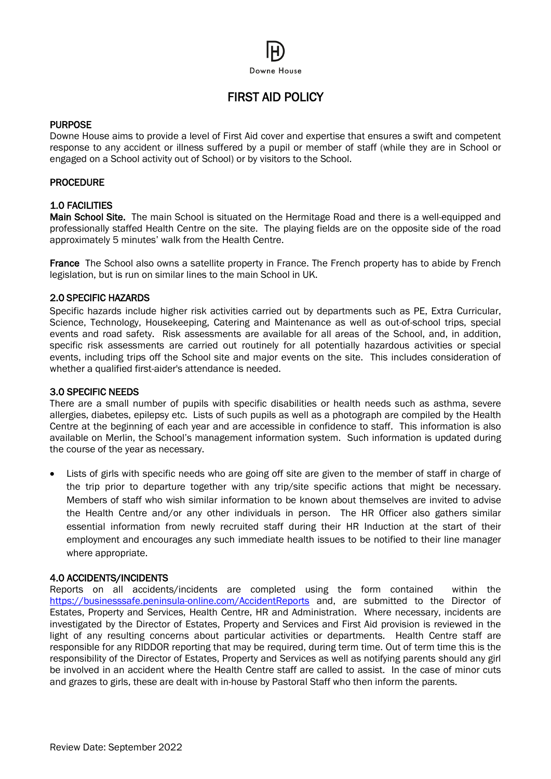# Downe House

# FIRST AID POLICY

#### PURPOSE

Downe House aims to provide a level of First Aid cover and expertise that ensures a swift and competent response to any accident or illness suffered by a pupil or member of staff (while they are in School or engaged on a School activity out of School) or by visitors to the School.

# **PROCEDURE**

# 1.0 FACILITIES

Main School Site. The main School is situated on the Hermitage Road and there is a well-equipped and professionally staffed Health Centre on the site. The playing fields are on the opposite side of the road approximately 5 minutes' walk from the Health Centre.

France The School also owns a satellite property in France. The French property has to abide by French legislation, but is run on similar lines to the main School in UK.

# 2.0 SPECIFIC HAZARDS

Specific hazards include higher risk activities carried out by departments such as PE, Extra Curricular, Science, Technology, Housekeeping, Catering and Maintenance as well as out-of-school trips, special events and road safety. Risk assessments are available for all areas of the School, and, in addition, specific risk assessments are carried out routinely for all potentially hazardous activities or special events, including trips off the School site and major events on the site. This includes consideration of whether a qualified first-aider's attendance is needed.

#### 3.0 SPECIFIC NEEDS

There are a small number of pupils with specific disabilities or health needs such as asthma, severe allergies, diabetes, epilepsy etc. Lists of such pupils as well as a photograph are compiled by the Health Centre at the beginning of each year and are accessible in confidence to staff. This information is also available on Merlin, the School's management information system. Such information is updated during the course of the year as necessary.

• Lists of girls with specific needs who are going off site are given to the member of staff in charge of the trip prior to departure together with any trip/site specific actions that might be necessary. Members of staff who wish similar information to be known about themselves are invited to advise the Health Centre and/or any other individuals in person. The HR Officer also gathers similar essential information from newly recruited staff during their HR Induction at the start of their employment and encourages any such immediate health issues to be notified to their line manager where appropriate.

#### 4.0 ACCIDENTS/INCIDENTS

Reports on all accidents/incidents are completed using the form contained within the <https://businesssafe.peninsula-online.com/AccidentReports> and, are submitted to the Director of Estates, Property and Services, Health Centre, HR and Administration. Where necessary, incidents are investigated by the Director of Estates, Property and Services and First Aid provision is reviewed in the light of any resulting concerns about particular activities or departments. Health Centre staff are responsible for any RIDDOR reporting that may be required, during term time. Out of term time this is the responsibility of the Director of Estates, Property and Services as well as notifying parents should any girl be involved in an accident where the Health Centre staff are called to assist. In the case of minor cuts and grazes to girls, these are dealt with in-house by Pastoral Staff who then inform the parents.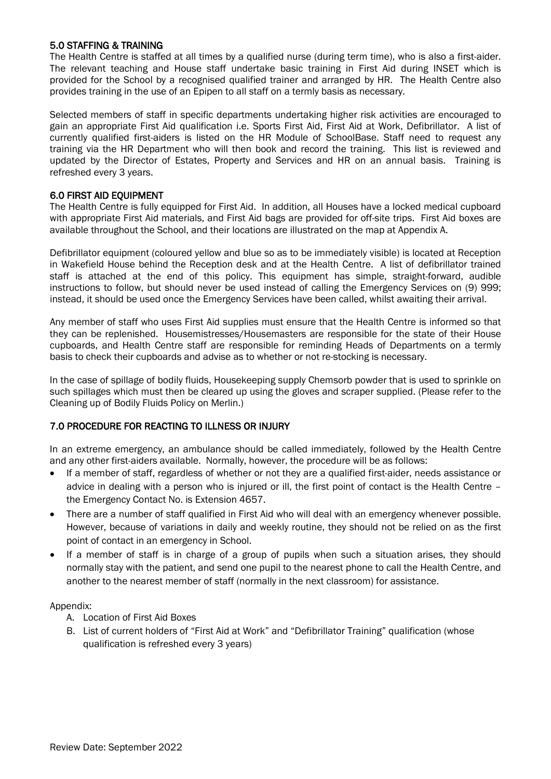# 5.0 STAFFING & TRAINING

The Health Centre is staffed at all times by a qualified nurse (during term time), who is also a first-aider. The relevant teaching and House staff undertake basic training in First Aid during INSET which is provided for the School by a recognised qualified trainer and arranged by HR. The Health Centre also provides training in the use of an Epipen to all staff on a termly basis as necessary.

Selected members of staff in specific departments undertaking higher risk activities are encouraged to gain an appropriate First Aid qualification i.e. Sports First Aid, First Aid at Work, Defibrillator. A list of currently qualified first-aiders is listed on the HR Module of SchoolBase. Staff need to request any training via the HR Department who will then book and record the training. This list is reviewed and updated by the Director of Estates, Property and Services and HR on an annual basis. Training is refreshed every 3 years.

#### 6.0 FIRST AID EQUIPMENT

The Health Centre is fully equipped for First Aid. In addition, all Houses have a locked medical cupboard with appropriate First Aid materials, and First Aid bags are provided for off-site trips. First Aid boxes are available throughout the School, and their locations are illustrated on the map at Appendix A.

Defibrillator equipment (coloured yellow and blue so as to be immediately visible) is located at Reception in Wakefield House behind the Reception desk and at the Health Centre. A list of defibrillator trained staff is attached at the end of this policy. This equipment has simple, straight-forward, audible instructions to follow, but should never be used instead of calling the Emergency Services on (9) 999; instead, it should be used once the Emergency Services have been called, whilst awaiting their arrival.

Any member of staff who uses First Aid supplies must ensure that the Health Centre is informed so that they can be replenished. Housemistresses/Housemasters are responsible for the state of their House cupboards, and Health Centre staff are responsible for reminding Heads of Departments on a termly basis to check their cupboards and advise as to whether or not re-stocking is necessary.

In the case of spillage of bodily fluids, Housekeeping supply Chemsorb powder that is used to sprinkle on such spillages which must then be cleared up using the gloves and scraper supplied. (Please refer to the Cleaning up of Bodily Fluids Policy on Merlin.)

# 7.0 PROCEDURE FOR REACTING TO ILLNESS OR INJURY

In an extreme emergency, an ambulance should be called immediately, followed by the Health Centre and any other first-aiders available. Normally, however, the procedure will be as follows:

- If a member of staff, regardless of whether or not they are a qualified first-aider, needs assistance or advice in dealing with a person who is injured or ill, the first point of contact is the Health Centre – the Emergency Contact No. is Extension 4657.
- There are a number of staff qualified in First Aid who will deal with an emergency whenever possible. However, because of variations in daily and weekly routine, they should not be relied on as the first point of contact in an emergency in School.
- If a member of staff is in charge of a group of pupils when such a situation arises, they should normally stay with the patient, and send one pupil to the nearest phone to call the Health Centre, and another to the nearest member of staff (normally in the next classroom) for assistance.

Appendix:

- A. Location of First Aid Boxes
- B. List of current holders of "First Aid at Work" and "Defibrillator Training" qualification (whose qualification is refreshed every 3 years)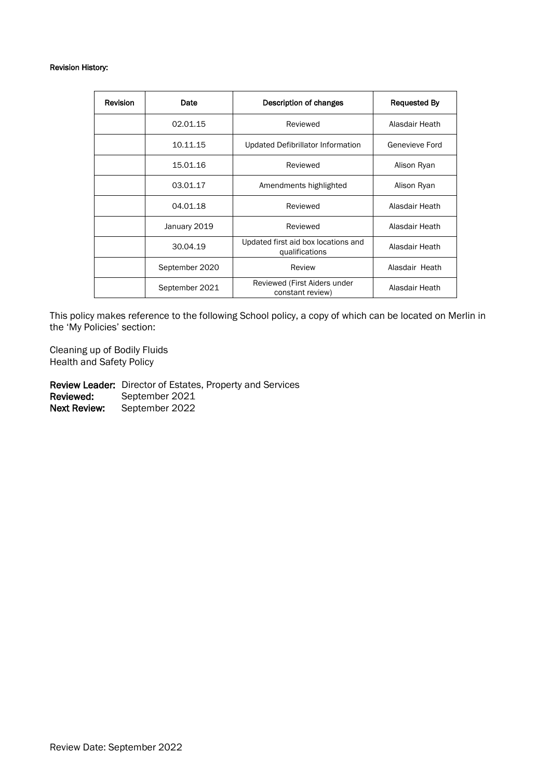#### Revision History:

| Revision | Date           | Description of changes                                | <b>Requested By</b> |
|----------|----------------|-------------------------------------------------------|---------------------|
|          | 02.01.15       | Reviewed                                              | Alasdair Heath      |
|          | 10.11.15       | Updated Defibrillator Information                     | Genevieve Ford      |
|          | 15.01.16       | Reviewed                                              | Alison Ryan         |
|          | 03.01.17       | Amendments highlighted                                | Alison Ryan         |
|          | 04.01.18       | Reviewed                                              | Alasdair Heath      |
|          | January 2019   | Reviewed                                              | Alasdair Heath      |
|          | 30.04.19       | Updated first aid box locations and<br>qualifications | Alasdair Heath      |
|          | September 2020 | Review                                                | Alasdair Heath      |
|          | September 2021 | Reviewed (First Aiders under<br>constant review)      | Alasdair Heath      |

This policy makes reference to the following School policy, a copy of which can be located on Merlin in the 'My Policies' section:

Cleaning up of Bodily Fluids Health and Safety Policy

Review Leader: Director of Estates, Property and Services Reviewed: September 2021 Next Review: September 2022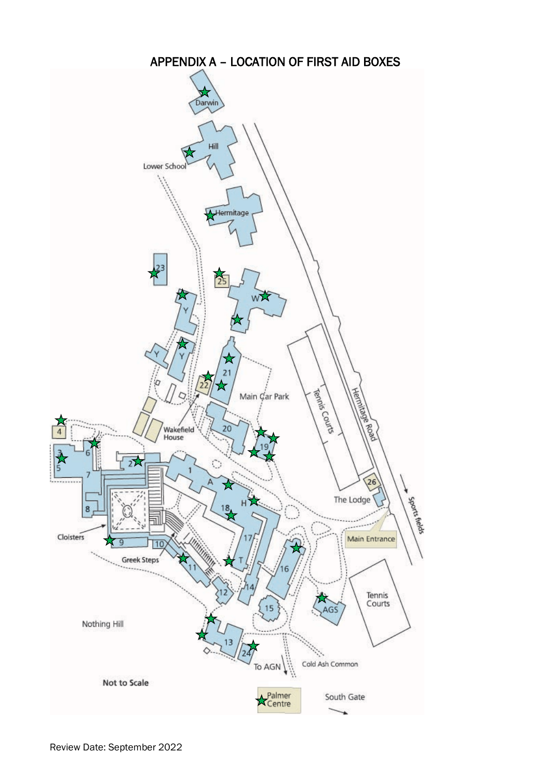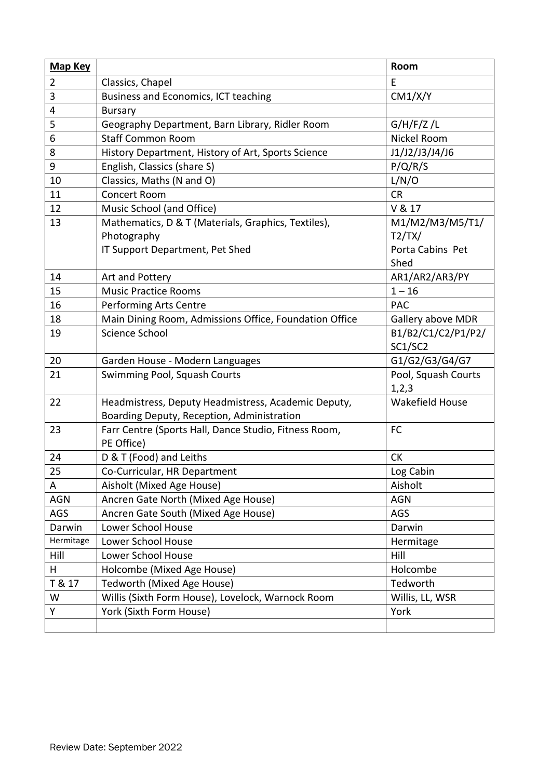| <b>Map Key</b> |                                                        | Room                   |
|----------------|--------------------------------------------------------|------------------------|
| $\overline{2}$ | Classics, Chapel                                       | E                      |
| 3              | Business and Economics, ICT teaching                   | CM1/X/Y                |
| 4              | <b>Bursary</b>                                         |                        |
| 5              | Geography Department, Barn Library, Ridler Room        | G/H/F/Z/L              |
| 6              | <b>Staff Common Room</b>                               | Nickel Room            |
| 8              | History Department, History of Art, Sports Science     | J1/J2/J3/J4/J6         |
| 9              | English, Classics (share S)                            | P/Q/R/S                |
| 10             | Classics, Maths (N and O)                              | L/N/O                  |
| 11             | Concert Room                                           | <b>CR</b>              |
| 12             | Music School (and Office)                              | V & 17                 |
| 13             | Mathematics, D & T (Materials, Graphics, Textiles),    | M1/M2/M3/M5/T1/        |
|                | Photography                                            | T2/TX/                 |
|                | IT Support Department, Pet Shed                        | Porta Cabins Pet       |
|                |                                                        | Shed                   |
| 14             | Art and Pottery                                        | AR1/AR2/AR3/PY         |
| 15             | <b>Music Practice Rooms</b>                            | $1 - 16$               |
| 16             | Performing Arts Centre                                 | <b>PAC</b>             |
| 18             | Main Dining Room, Admissions Office, Foundation Office | Gallery above MDR      |
| 19             | Science School                                         | B1/B2/C1/C2/P1/P2/     |
|                |                                                        | SC1/SC2                |
| 20             | Garden House - Modern Languages                        | G1/G2/G3/G4/G7         |
| 21             | Swimming Pool, Squash Courts                           | Pool, Squash Courts    |
|                |                                                        | 1,2,3                  |
| 22             | Headmistress, Deputy Headmistress, Academic Deputy,    | <b>Wakefield House</b> |
|                | Boarding Deputy, Reception, Administration             |                        |
| 23             | Farr Centre (Sports Hall, Dance Studio, Fitness Room,  | <b>FC</b>              |
|                | PE Office)                                             |                        |
| 24             | D & T (Food) and Leiths                                | <b>CK</b>              |
| 25             | Co-Curricular, HR Department                           | Log Cabin              |
| A              | Aisholt (Mixed Age House)                              | Aisholt                |
| <b>AGN</b>     | Ancren Gate North (Mixed Age House)                    | <b>AGN</b>             |
| AGS            | Ancren Gate South (Mixed Age House)                    | AGS                    |
| Darwin         | Lower School House                                     | Darwin                 |
| Hermitage      | Lower School House                                     | Hermitage              |
| Hill           | Lower School House                                     | Hill                   |
| H              | Holcombe (Mixed Age House)                             | Holcombe               |
| T & 17         | Tedworth (Mixed Age House)                             | Tedworth               |
| W              | Willis (Sixth Form House), Lovelock, Warnock Room      | Willis, LL, WSR        |
| Υ              | York (Sixth Form House)                                | York                   |
|                |                                                        |                        |